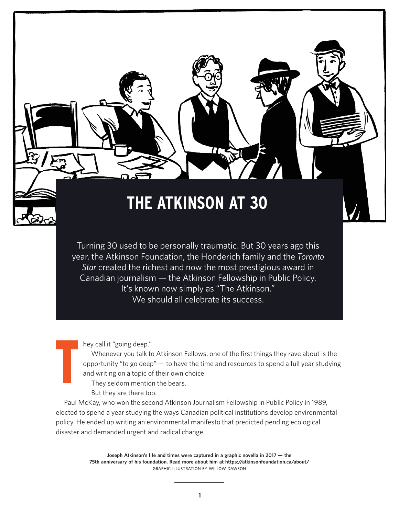## **THE ATKINSON AT 30**

DI

Turning 30 used to be personally traumatic. But 30 years ago this year, the Atkinson Foundation, the Honderich family and the *Toronto Star* created the richest and now the most prestigious award in Canadian journalism — the Atkinson Fellowship in Public Policy. It's known now simply as "The Atkinson." We should all celebrate its success.

hey call it "going deep."

T

Whenever you talk to Atkinson Fellows, one of the first things they rave about is the opportunity "to go deep" — to have the time and resources to spend a full year studying and writing on a topic of their own choice.

They seldom mention the bears.

But they are there too.

Paul McKay, who won the second Atkinson Journalism Fellowship in Public Policy in 1989, elected to spend a year studying the ways Canadian political institutions develop environmental policy. He ended up writing an environmental manifesto that predicted pending ecological disaster and demanded urgent and radical change.

> **Joseph Atkinson's life and times were captured in a graphic novella in 2017 — the 75th anniversary of his foundation. Read more about him at <https://atkinsonfoundation.ca/about/>** GRAPHIC ILLUSTRATION BY WILLOW DAWSON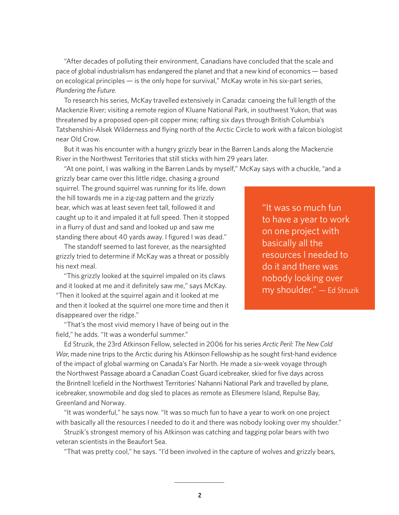"After decades of polluting their environment, Canadians have concluded that the scale and pace of global industrialism has endangered the planet and that a new kind of economics — based on ecological principles — is the only hope for survival," McKay wrote in his six-part series, *Plundering the Future*.

To research his series, McKay travelled extensively in Canada: canoeing the full length of the Mackenzie River; visiting a remote region of Kluane National Park, in southwest Yukon, that was threatened by a proposed open-pit copper mine; rafting six days through British Columbia's Tatshenshini-Alsek Wilderness and flying north of the Arctic Circle to work with a falcon biologist near Old Crow.

But it was his encounter with a hungry grizzly bear in the Barren Lands along the Mackenzie River in the Northwest Territories that still sticks with him 29 years later.

"At one point, I was walking in the Barren Lands by myself," McKay says with a chuckle, "and a

grizzly bear came over this little ridge, chasing a ground squirrel. The ground squirrel was running for its life, down the hill towards me in a zig-zag pattern and the grizzly bear, which was at least seven feet tall, followed it and caught up to it and impaled it at full speed. Then it stopped in a flurry of dust and sand and looked up and saw me standing there about 40 yards away. I figured I was dead."

The standoff seemed to last forever, as the nearsighted grizzly tried to determine if McKay was a threat or possibly his next meal.

"This grizzly looked at the squirrel impaled on its claws and it looked at me and it definitely saw me," says McKay. "Then it looked at the squirrel again and it looked at me and then it looked at the squirrel one more time and then it disappeared over the ridge."

to have a year to work on one project with basically all the resources I needed to do it and there was nobody looking over my shoulder." — Ed Struzik

"It was so much fun

"That's the most vivid memory I have of being out in the field," he adds. "It was a wonderful summer."

Ed Struzik, the 23rd Atkinson Fellow, selected in 2006 for his series *Arctic Peril: The New Cold War*, made nine trips to the Arctic during his Atkinson Fellowship as he sought first-hand evidence of the impact of global warming on Canada's Far North. He made a six-week voyage through the Northwest Passage aboard a Canadian Coast Guard icebreaker, skied for five days across the Brintnell Icefield in the Northwest Territories' Nahanni National Park and travelled by plane, icebreaker, snowmobile and dog sled to places as remote as Ellesmere Island, Repulse Bay, Greenland and Norway.

"It was wonderful," he says now. "It was so much fun to have a year to work on one project with basically all the resources I needed to do it and there was nobody looking over my shoulder."

Struzik's strongest memory of his Atkinson was catching and tagging polar bears with two veteran scientists in the Beaufort Sea.

"That was pretty cool," he says. "I'd been involved in the capture of wolves and grizzly bears,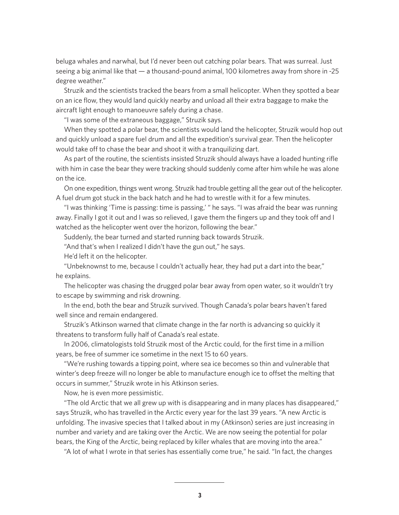beluga whales and narwhal, but I'd never been out catching polar bears. That was surreal. Just seeing a big animal like that — a thousand-pound animal, 100 kilometres away from shore in -25 degree weather."

Struzik and the scientists tracked the bears from a small helicopter. When they spotted a bear on an ice flow, they would land quickly nearby and unload all their extra baggage to make the aircraft light enough to manoeuvre safely during a chase.

"I was some of the extraneous baggage," Struzik says.

When they spotted a polar bear, the scientists would land the helicopter, Struzik would hop out and quickly unload a spare fuel drum and all the expedition's survival gear. Then the helicopter would take off to chase the bear and shoot it with a tranquilizing dart.

As part of the routine, the scientists insisted Struzik should always have a loaded hunting rifle with him in case the bear they were tracking should suddenly come after him while he was alone on the ice.

On one expedition, things went wrong. Struzik had trouble getting all the gear out of the helicopter. A fuel drum got stuck in the back hatch and he had to wrestle with it for a few minutes.

"I was thinking 'Time is passing: time is passing,' " he says. "I was afraid the bear was running away. Finally I got it out and I was so relieved, I gave them the fingers up and they took off and I watched as the helicopter went over the horizon, following the bear."

Suddenly, the bear turned and started running back towards Struzik.

"And that's when I realized I didn't have the gun out," he says.

He'd left it on the helicopter.

"Unbeknownst to me, because I couldn't actually hear, they had put a dart into the bear," he explains.

The helicopter was chasing the drugged polar bear away from open water, so it wouldn't try to escape by swimming and risk drowning.

In the end, both the bear and Struzik survived. Though Canada's polar bears haven't fared well since and remain endangered.

Struzik's Atkinson warned that climate change in the far north is advancing so quickly it threatens to transform fully half of Canada's real estate.

In 2006, climatologists told Struzik most of the Arctic could, for the first time in a million years, be free of summer ice sometime in the next 15 to 60 years.

"We're rushing towards a tipping point, where sea ice becomes so thin and vulnerable that winter's deep freeze will no longer be able to manufacture enough ice to offset the melting that occurs in summer," Struzik wrote in his Atkinson series.

Now, he is even more pessimistic.

"The old Arctic that we all grew up with is disappearing and in many places has disappeared," says Struzik, who has travelled in the Arctic every year for the last 39 years. "A new Arctic is unfolding. The invasive species that I talked about in my (Atkinson) series are just increasing in number and variety and are taking over the Arctic. We are now seeing the potential for polar bears, the King of the Arctic, being replaced by killer whales that are moving into the area."

"A lot of what I wrote in that series has essentially come true," he said. "In fact, the changes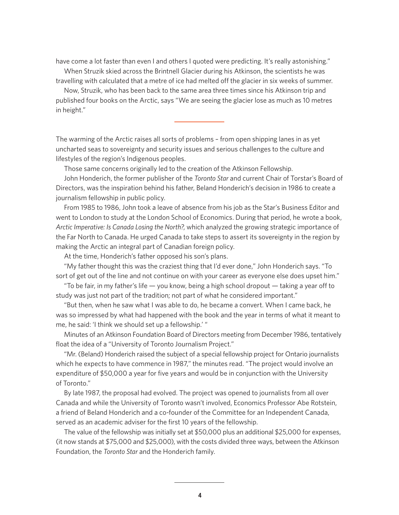have come a lot faster than even I and others I quoted were predicting. It's really astonishing." When Struzik skied across the Brintnell Glacier during his Atkinson, the scientists he was

travelling with calculated that a metre of ice had melted off the glacier in six weeks of summer.

Now, Struzik, who has been back to the same area three times since his Atkinson trip and published four books on the Arctic, says "We are seeing the glacier lose as much as 10 metres in height."

The warming of the Arctic raises all sorts of problems – from open shipping lanes in as yet uncharted seas to sovereignty and security issues and serious challenges to the culture and lifestyles of the region's Indigenous peoples.

Those same concerns originally led to the creation of the Atkinson Fellowship.

John Honderich, the former publisher of the *Toronto Star* and current Chair of Torstar's Board of Directors, was the inspiration behind his father, Beland Honderich's decision in 1986 to create a journalism fellowship in public policy.

From 1985 to 1986, John took a leave of absence from his job as the Star's Business Editor and went to London to study at the London School of Economics. During that period, he wrote a book, *Arctic Imperative: Is Canada Losing the North?*, which analyzed the growing strategic importance of the Far North to Canada. He urged Canada to take steps to assert its sovereignty in the region by making the Arctic an integral part of Canadian foreign policy.

At the time, Honderich's father opposed his son's plans.

"My father thought this was the craziest thing that I'd ever done," John Honderich says. "To sort of get out of the line and not continue on with your career as everyone else does upset him."

"To be fair, in my father's life — you know, being a high school dropout — taking a year off to study was just not part of the tradition; not part of what he considered important."

"But then, when he saw what I was able to do, he became a convert. When I came back, he was so impressed by what had happened with the book and the year in terms of what it meant to me, he said: 'I think we should set up a fellowship.' "

Minutes of an Atkinson Foundation Board of Directors meeting from December 1986, tentatively float the idea of a "University of Toronto Journalism Project."

"Mr. (Beland) Honderich raised the subject of a special fellowship project for Ontario journalists which he expects to have commence in 1987," the minutes read. "The project would involve an expenditure of \$50,000 a year for five years and would be in conjunction with the University of Toronto."

By late 1987, the proposal had evolved. The project was opened to journalists from all over Canada and while the University of Toronto wasn't involved, Economics Professor Abe Rotstein, a friend of Beland Honderich and a co-founder of the Committee for an Independent Canada, served as an academic adviser for the first 10 years of the fellowship.

The value of the fellowship was initially set at \$50,000 plus an additional \$25,000 for expenses, (it now stands at \$75,000 and \$25,000), with the costs divided three ways, between the Atkinson Foundation, the *Toronto Star* and the Honderich family.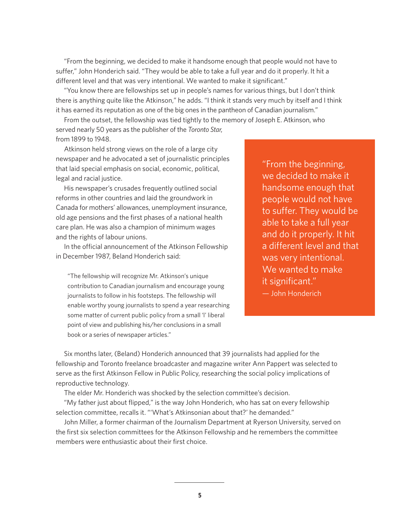"From the beginning, we decided to make it handsome enough that people would not have to suffer," John Honderich said. "They would be able to take a full year and do it properly. It hit a different level and that was very intentional. We wanted to make it significant."

"You know there are fellowships set up in people's names for various things, but I don't think there is anything quite like the Atkinson," he adds. "I think it stands very much by itself and I think it has earned its reputation as one of the big ones in the pantheon of Canadian journalism."

From the outset, the fellowship was tied tightly to the memory of Joseph E. Atkinson, who served nearly 50 years as the publisher of the *Toronto Star*, from 1899 to 1948.

Atkinson held strong views on the role of a large city newspaper and he advocated a set of journalistic principles that laid special emphasis on social, economic, political, legal and racial justice.

His newspaper's crusades frequently outlined social reforms in other countries and laid the groundwork in Canada for mothers' allowances, unemployment insurance, old age pensions and the first phases of a national health care plan. He was also a champion of minimum wages and the rights of labour unions.

In the official announcement of the Atkinson Fellowship in December 1987, Beland Honderich said:

"The fellowship will recognize Mr. Atkinson's unique contribution to Canadian journalism and encourage young journalists to follow in his footsteps. The fellowship will enable worthy young journalists to spend a year researching some matter of current public policy from a small 'l' liberal point of view and publishing his/her conclusions in a small book or a series of newspaper articles."

"From the beginning, we decided to make it handsome enough that people would not have to suffer. They would be able to take a full year and do it properly. It hit a different level and that was very intentional. We wanted to make it significant."

— John Honderich

Six months later, (Beland) Honderich announced that 39 journalists had applied for the fellowship and Toronto freelance broadcaster and magazine writer Ann Pappert was selected to serve as the first Atkinson Fellow in Public Policy, researching the social policy implications of reproductive technology.

The elder Mr. Honderich was shocked by the selection committee's decision.

"My father just about flipped," is the way John Honderich, who has sat on every fellowship selection committee, recalls it. "'What's Atkinsonian about that?' he demanded."

John Miller, a former chairman of the Journalism Department at Ryerson University, served on the first six selection committees for the Atkinson Fellowship and he remembers the committee members were enthusiastic about their first choice.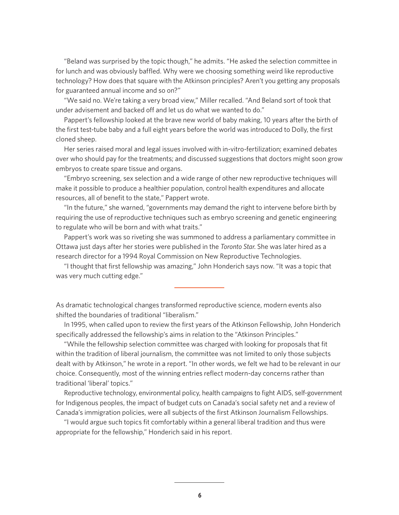"Beland was surprised by the topic though," he admits. "He asked the selection committee in for lunch and was obviously baffled. Why were we choosing something weird like reproductive technology? How does that square with the Atkinson principles? Aren't you getting any proposals for guaranteed annual income and so on?"

"We said no. We're taking a very broad view," Miller recalled. "And Beland sort of took that under advisement and backed off and let us do what we wanted to do."

Pappert's fellowship looked at the brave new world of baby making, 10 years after the birth of the first test-tube baby and a full eight years before the world was introduced to Dolly, the first cloned sheep.

Her series raised moral and legal issues involved with in-vitro-fertilization; examined debates over who should pay for the treatments; and discussed suggestions that doctors might soon grow embryos to create spare tissue and organs.

"Embryo screening, sex selection and a wide range of other new reproductive techniques will make it possible to produce a healthier population, control health expenditures and allocate resources, all of benefit to the state," Pappert wrote.

"In the future," she warned, "governments may demand the right to intervene before birth by requiring the use of reproductive techniques such as embryo screening and genetic engineering to regulate who will be born and with what traits."

Pappert's work was so riveting she was summoned to address a parliamentary committee in Ottawa just days after her stories were published in the *Toronto Star*. She was later hired as a research director for a 1994 Royal Commission on New Reproductive Technologies.

"I thought that first fellowship was amazing," John Honderich says now. "It was a topic that was very much cutting edge."

As dramatic technological changes transformed reproductive science, modern events also shifted the boundaries of traditional "liberalism."

In 1995, when called upon to review the first years of the Atkinson Fellowship, John Honderich specifically addressed the fellowship's aims in relation to the "Atkinson Principles."

"While the fellowship selection committee was charged with looking for proposals that fit within the tradition of liberal journalism, the committee was not limited to only those subjects dealt with by Atkinson," he wrote in a report. "In other words, we felt we had to be relevant in our choice. Consequently, most of the winning entries reflect modern-day concerns rather than traditional 'liberal' topics."

Reproductive technology, environmental policy, health campaigns to fight AIDS, self-government for Indigenous peoples, the impact of budget cuts on Canada's social safety net and a review of Canada's immigration policies, were all subjects of the first Atkinson Journalism Fellowships.

"I would argue such topics fit comfortably within a general liberal tradition and thus were appropriate for the fellowship," Honderich said in his report.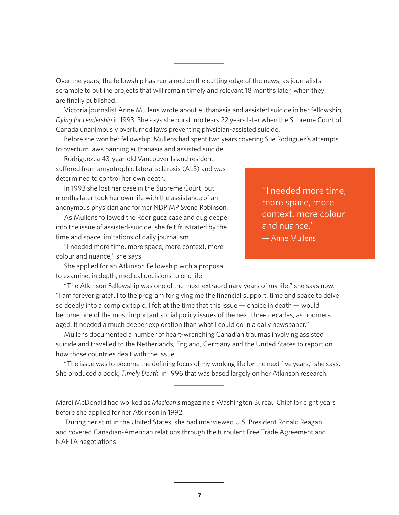Over the years, the fellowship has remained on the cutting edge of the news, as journalists scramble to outline projects that will remain timely and relevant 18 months later, when they are finally published.

Victoria journalist Anne Mullens wrote about euthanasia and assisted suicide in her fellowship, *Dying for Leadership* in 1993. She says she burst into tears 22 years later when the Supreme Court of Canada unanimously overturned laws preventing physician-assisted suicide.

Before she won her fellowship, Mullens had spent two years covering Sue Rodriguez's attempts to overturn laws banning euthanasia and assisted suicide.

Rodriguez, a 43-year-old Vancouver Island resident suffered from amyotrophic lateral sclerosis (ALS) and was determined to control her own death.

In 1993 she lost her case in the Supreme Court, but months later took her own life with the assistance of an anonymous physician and former NDP MP Svend Robinson.

As Mullens followed the Rodriguez case and dug deeper into the issue of assisted-suicide, she felt frustrated by the time and space limitations of daily journalism.

"I needed more time, more space, more context, more colour and nuance," she says.

She applied for an Atkinson Fellowship with a proposal to examine, in depth, medical decisions to end life.

"I needed more time, more space, more context, more colour and nuance."

— Anne Mullens

"The Atkinson Fellowship was one of the most extraordinary years of my life," she says now. "I am forever grateful to the program for giving me the financial support, time and space to delve so deeply into a complex topic. I felt at the time that this issue — choice in death — would become one of the most important social policy issues of the next three decades, as boomers aged. It needed a much deeper exploration than what I could do in a daily newspaper."

Mullens documented a number of heart-wrenching Canadian traumas involving assisted suicide and travelled to the Netherlands, England, Germany and the United States to report on how those countries dealt with the issue.

"The issue was to become the defining focus of my working life for the next five years," she says. She produced a book, *Timely Death*, in 1996 that was based largely on her Atkinson research.

Marci McDonald had worked as *Maclean's* magazine's Washington Bureau Chief for eight years before she applied for her Atkinson in 1992.

 During her stint in the United States, she had interviewed U.S. President Ronald Reagan and covered Canadian-American relations through the turbulent Free Trade Agreement and NAFTA negotiations.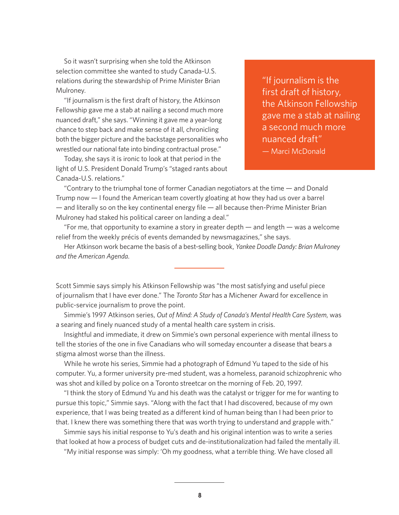So it wasn't surprising when she told the Atkinson selection committee she wanted to study Canada-U.S. relations during the stewardship of Prime Minister Brian Mulroney.

"If journalism is the first draft of history, the Atkinson Fellowship gave me a stab at nailing a second much more nuanced draft," she says. "Winning it gave me a year-long chance to step back and make sense of it all, chronicling both the bigger picture and the backstage personalities who wrestled our national fate into binding contractual prose."

Today, she says it is ironic to look at that period in the light of U.S. President Donald Trump's "staged rants about Canada-U.S. relations."

"If journalism is the first draft of history, the Atkinson Fellowship gave me a stab at nailing a second much more nuanced draft" — Marci McDonald

"Contrary to the triumphal tone of former Canadian negotiators at the time — and Donald Trump now — I found the American team covertly gloating at how they had us over a barrel  $-$  and literally so on the key continental energy file  $-$  all because then-Prime Minister Brian Mulroney had staked his political career on landing a deal."

"For me, that opportunity to examine a story in greater depth — and length — was a welcome relief from the weekly précis of events demanded by newsmagazines," she says.

Her Atkinson work became the basis of a best-selling book, *Yankee Doodle Dandy: Brian Mulroney and the American Agenda*.

Scott Simmie says simply his Atkinson Fellowship was "the most satisfying and useful piece of journalism that I have ever done." The *Toronto Star* has a Michener Award for excellence in public-service journalism to prove the point.

Simmie's 1997 Atkinson series, *Out of Mind: A Study of Canada's Mental Health Care System*, was a searing and finely nuanced study of a mental health care system in crisis.

Insightful and immediate, it drew on Simmie's own personal experience with mental illness to tell the stories of the one in five Canadians who will someday encounter a disease that bears a stigma almost worse than the illness.

While he wrote his series, Simmie had a photograph of Edmund Yu taped to the side of his computer. Yu, a former university pre-med student, was a homeless, paranoid schizophrenic who was shot and killed by police on a Toronto streetcar on the morning of Feb. 20, 1997.

"I think the story of Edmund Yu and his death was the catalyst or trigger for me for wanting to pursue this topic," Simmie says. "Along with the fact that I had discovered, because of my own experience, that I was being treated as a different kind of human being than I had been prior to that. I knew there was something there that was worth trying to understand and grapple with."

Simmie says his initial response to Yu's death and his original intention was to write a series that looked at how a process of budget cuts and de-institutionalization had failed the mentally ill.

"My initial response was simply: 'Oh my goodness, what a terrible thing. We have closed all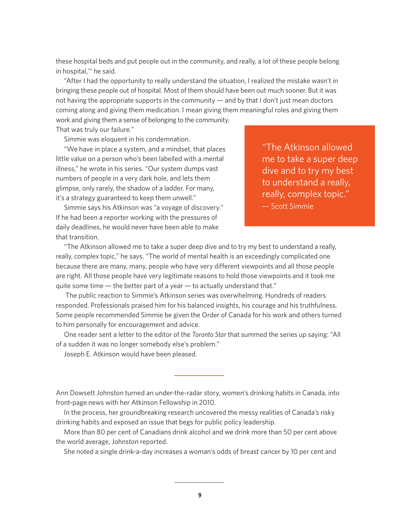these hospital beds and put people out in the community, and really, a lot of these people belong in hospital,'" he said.

"After I had the opportunity to really understand the situation, I realized the mistake wasn't in bringing these people out of hospital. Most of them should have been out much sooner. But it was not having the appropriate supports in the community — and by that I don't just mean doctors coming along and giving them medication. I mean giving them meaningful roles and giving them

work and giving them a sense of belonging to the community. That was truly our failure."

Simmie was eloquent in his condemnation.

"We have in place a system, and a mindset, that places little value on a person who's been labelled with a mental illness," he wrote in his series. "Our system dumps vast numbers of people in a very dark hole, and lets them glimpse, only rarely, the shadow of a ladder. For many, it's a strategy guaranteed to keep them unwell."

Simmie says his Atkinson was "a voyage of discovery." If he had been a reporter working with the pressures of daily deadlines, he would never have been able to make that transition.

"The Atkinson allowed me to take a super deep dive and to try my best to understand a really, really, complex topic."

— Scott Simmie

"The Atkinson allowed me to take a super deep dive and to try my best to understand a really, really, complex topic," he says. "The world of mental health is an exceedingly complicated one because there are many, many, people who have very different viewpoints and all those people are right. All those people have very legitimate reasons to hold those viewpoints and it took me quite some time  $-$  the better part of a year  $-$  to actually understand that."

 The public reaction to Simmie's Atkinson series was overwhelming. Hundreds of readers responded. Professionals praised him for his balanced insights, his courage and his truthfulness. Some people recommended Simmie be given the Order of Canada for his work and others turned to him personally for encouragement and advice.

One reader sent a letter to the editor of the *Toronto Star* that summed the series up saying: "All of a sudden it was no longer somebody else's problem."

Joseph E. Atkinson would have been pleased.

Ann Dowsett Johnston turned an under-the-radar story, women's drinking habits in Canada, into front-page news with her Atkinson Fellowship in 2010.

In the process, her groundbreaking research uncovered the messy realities of Canada's risky drinking habits and exposed an issue that begs for public policy leadership.

More than 80 per cent of Canadians drink alcohol and we drink more than 50 per cent above the world average, Johnston reported.

She noted a single drink-a-day increases a woman's odds of breast cancer by 10 per cent and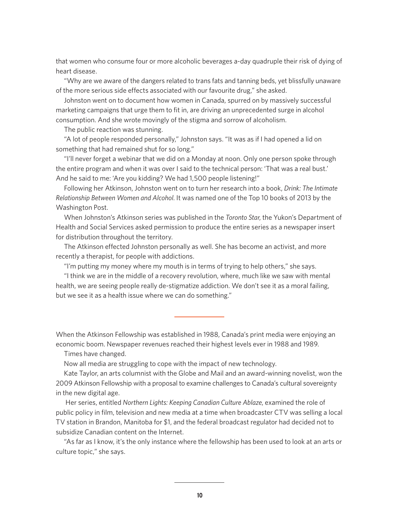that women who consume four or more alcoholic beverages a-day quadruple their risk of dying of heart disease.

"Why are we aware of the dangers related to trans fats and tanning beds, yet blissfully unaware of the more serious side effects associated with our favourite drug," she asked.

Johnston went on to document how women in Canada, spurred on by massively successful marketing campaigns that urge them to fit in, are driving an unprecedented surge in alcohol consumption. And she wrote movingly of the stigma and sorrow of alcoholism.

The public reaction was stunning.

"A lot of people responded personally," Johnston says. "It was as if I had opened a lid on something that had remained shut for so long."

"I'll never forget a webinar that we did on a Monday at noon. Only one person spoke through the entire program and when it was over I said to the technical person: 'That was a real bust.' And he said to me: 'Are you kidding? We had 1,500 people listening!"

Following her Atkinson, Johnston went on to turn her research into a book, *Drink: The Intimate Relationship Between Women and Alcohol*. It was named one of the Top 10 books of 2013 by the Washington Post.

When Johnston's Atkinson series was published in the *Toronto Star*, the Yukon's Department of Health and Social Services asked permission to produce the entire series as a newspaper insert for distribution throughout the territory.

The Atkinson effected Johnston personally as well. She has become an activist, and more recently a therapist, for people with addictions.

"I'm putting my money where my mouth is in terms of trying to help others," she says.

"I think we are in the middle of a recovery revolution, where, much like we saw with mental health, we are seeing people really de-stigmatize addiction. We don't see it as a moral failing, but we see it as a health issue where we can do something."

When the Atkinson Fellowship was established in 1988, Canada's print media were enjoying an economic boom. Newspaper revenues reached their highest levels ever in 1988 and 1989.

Times have changed.

Now all media are struggling to cope with the impact of new technology.

Kate Taylor, an arts columnist with the Globe and Mail and an award-winning novelist, won the 2009 Atkinson Fellowship with a proposal to examine challenges to Canada's cultural sovereignty in the new digital age.

 Her series, entitled *Northern Lights: Keeping Canadian Culture Ablaze*, examined the role of public policy in film, television and new media at a time when broadcaster CTV was selling a local TV station in Brandon, Manitoba for \$1, and the federal broadcast regulator had decided not to subsidize Canadian content on the Internet.

"As far as I know, it's the only instance where the fellowship has been used to look at an arts or culture topic," she says.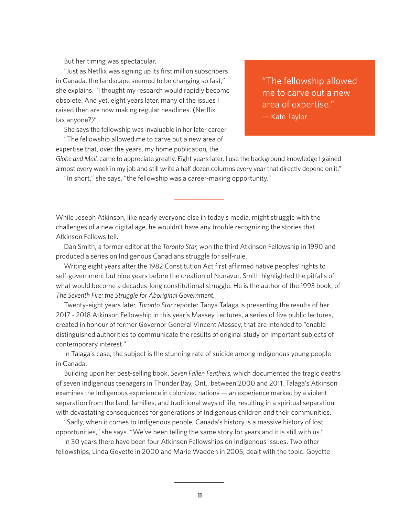But her timing was spectacular.

"Just as Netflix was signing up its first million subscribers in Canada, the landscape seemed to be changing so fast," she explains. "I thought my research would rapidly become obsolete. And yet, eight years later, many of the issues I raised then are now making regular headlines. (Netflix tax anyone?)"

She says the fellowship was invaluable in her later career. "The fellowship allowed me to carve out a new area of

expertise that, over the years, my home publication, the

"The fellowship allowed me to carve out a new area of expertise." — Kate Taylor

*Globe and Mail*, came to appreciate greatly. Eight years later, I use the background knowledge I gained almost every week in my job and still write a half dozen columns every year that directly depend on it." "In short," she says, "the fellowship was a career-making opportunity."

While Joseph Atkinson, like nearly everyone else in today's media, might struggle with the challenges of a new digital age, he wouldn't have any trouble recognizing the stories that Atkinson Fellows tell.

Dan Smith, a former editor at the *Toronto Star*, won the third Atkinson Fellowship in 1990 and produced a series on Indigenous Canadians struggle for self-rule.

Writing eight years after the 1982 Constitution Act first affirmed native peoples' rights to self-government but nine years before the creation of Nunavut, Smith highlighted the pitfalls of what would become a decades-long constitutional struggle. He is the author of the 1993 book, of *The Seventh Fire: the Struggle for Aboriginal Government*.

Twenty-eight years later, *Toronto Star* reporter Tanya Talaga is presenting the results of her 2017 - 2018 Atkinson Fellowship in this year's Massey Lectures, a series of five public lectures, created in honour of former Governor General Vincent Massey, that are intended to "enable distinguished authorities to communicate the results of original study on important subjects of contemporary interest."

In Talaga's case, the subject is the stunning rate of suicide among Indigenous young people in Canada.

Building upon her best-selling book, *Seven Fallen Feathers*, which documented the tragic deaths of seven Indigenous teenagers in Thunder Bay, Ont., between 2000 and 2011, Talaga's Atkinson examines the Indigenous experience in colonized nations — an experience marked by a violent separation from the land, families, and traditional ways of life, resulting in a spiritual separation with devastating consequences for generations of Indigenous children and their communities.

"Sadly, when it comes to Indigenous people, Canada's history is a massive history of lost opportunities," she says. "We've been telling the same story for years and it is still with us."

In 30 years there have been four Atkinson Fellowships on Indigenous issues. Two other fellowships, Linda Goyette in 2000 and Marie Wadden in 2005, dealt with the topic. Goyette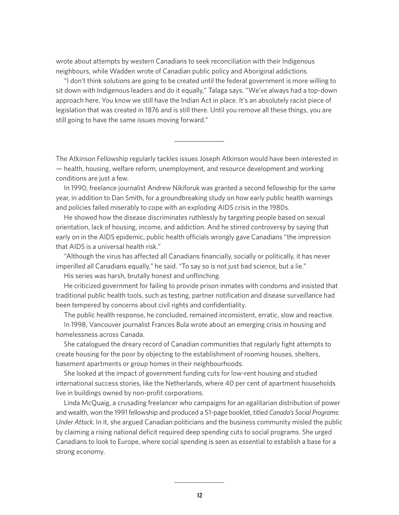wrote about attempts by western Canadians to seek reconciliation with their Indigenous neighbours, while Wadden wrote of Canadian public policy and Aboriginal addictions.

"I don't think solutions are going to be created until the federal government is more willing to sit down with Indigenous leaders and do it equally," Talaga says. "We've always had a top-down approach here. You know we still have the Indian Act in place. It's an absolutely racist piece of legislation that was created in 1876 and is still there. Until you remove all these things, you are still going to have the same issues moving forward."

The Atkinson Fellowship regularly tackles issues Joseph Atkinson would have been interested in — health, housing, welfare reform, unemployment, and resource development and working conditions are just a few.

In 1990, freelance journalist Andrew Nikiforuk was granted a second fellowship for the same year, in addition to Dan Smith, for a groundbreaking study on how early public health warnings and policies failed miserably to cope with an exploding AIDS crisis in the 1980s.

He showed how the disease discriminates ruthlessly by targeting people based on sexual orientation, lack of housing, income, and addiction. And he stirred controversy by saying that early on in the AIDS epidemic, public health officials wrongly gave Canadians "the impression that AIDS is a universal health risk."

"Although the virus has affected all Canadians financially, socially or politically, it has never imperilled all Canadians equally," he said. "To say so is not just bad science, but a lie."

His series was harsh, brutally honest and unflinching.

He criticized government for failing to provide prison inmates with condoms and insisted that traditional public health tools, such as testing, partner notification and disease surveillance had been tempered by concerns about civil rights and confidentiality.

The public health response, he concluded, remained inconsistent, erratic, slow and reactive.

In 1998, Vancouver journalist Frances Bula wrote about an emerging crisis in housing and homelessness across Canada.

She catalogued the dreary record of Canadian communities that regularly fight attempts to create housing for the poor by objecting to the establishment of rooming houses, shelters, basement apartments or group homes in their neighbourhoods.

She looked at the impact of government funding cuts for low-rent housing and studied international success stories, like the Netherlands, where 40 per cent of apartment households live in buildings owned by non-profit corporations.

Linda McQuaig, a crusading freelancer who campaigns for an egalitarian distribution of power and wealth, won the 1991 fellowship and produced a 51-page booklet, titled *Canada's Social Programs: Under Attack*. In it, she argued Canadian politicians and the business community misled the public by claiming a rising national deficit required deep spending cuts to social programs. She urged Canadians to look to Europe, where social spending is seen as essential to establish a base for a strong economy.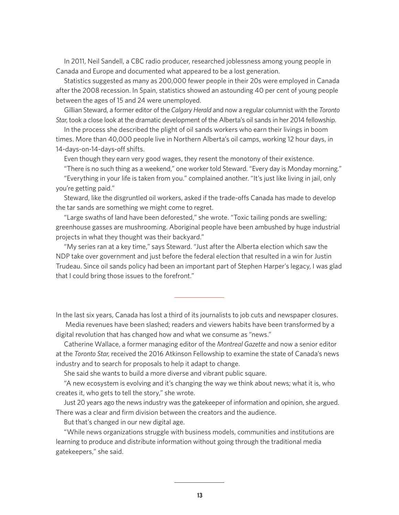In 2011, Neil Sandell, a CBC radio producer, researched joblessness among young people in Canada and Europe and documented what appeared to be a lost generation.

Statistics suggested as many as 200,000 fewer people in their 20s were employed in Canada after the 2008 recession. In Spain, statistics showed an astounding 40 per cent of young people between the ages of 15 and 24 were unemployed.

Gillian Steward, a former editor of the *Calgary Herald* and now a regular columnist with the *Toronto Star*, took a close look at the dramatic development of the Alberta's oil sands in her 2014 fellowship.

In the process she described the plight of oil sands workers who earn their livings in boom times. More than 40,000 people live in Northern Alberta's oil camps, working 12 hour days, in 14-days-on-14-days-off shifts.

Even though they earn very good wages, they resent the monotony of their existence.

"There is no such thing as a weekend," one worker told Steward. "Every day is Monday morning."

"Everything in your life is taken from you." complained another. "It's just like living in jail, only you're getting paid."

Steward, like the disgruntled oil workers, asked if the trade-offs Canada has made to develop the tar sands are something we might come to regret.

"Large swaths of land have been deforested," she wrote. "Toxic tailing ponds are swelling; greenhouse gasses are mushrooming. Aboriginal people have been ambushed by huge industrial projects in what they thought was their backyard."

"My series ran at a key time," says Steward. "Just after the Alberta election which saw the NDP take over government and just before the federal election that resulted in a win for Justin Trudeau. Since oil sands policy had been an important part of Stephen Harper's legacy, I was glad that I could bring those issues to the forefront."

In the last six years, Canada has lost a third of its journalists to job cuts and newspaper closures.

 Media revenues have been slashed; readers and viewers habits have been transformed by a digital revolution that has changed how and what we consume as "news."

Catherine Wallace, a former managing editor of the *Montreal Gazette* and now a senior editor at the *Toronto Star*, received the 2016 Atkinson Fellowship to examine the state of Canada's news industry and to search for proposals to help it adapt to change.

She said she wants to build a more diverse and vibrant public square.

"A new ecosystem is evolving and it's changing the way we think about news; what it is, who creates it, who gets to tell the story," she wrote.

Just 20 years ago the news industry was the gatekeeper of information and opinion, she argued. There was a clear and firm division between the creators and the audience.

But that's changed in our new digital age.

"While news organizations struggle with business models, communities and institutions are learning to produce and distribute information without going through the traditional media gatekeepers," she said.